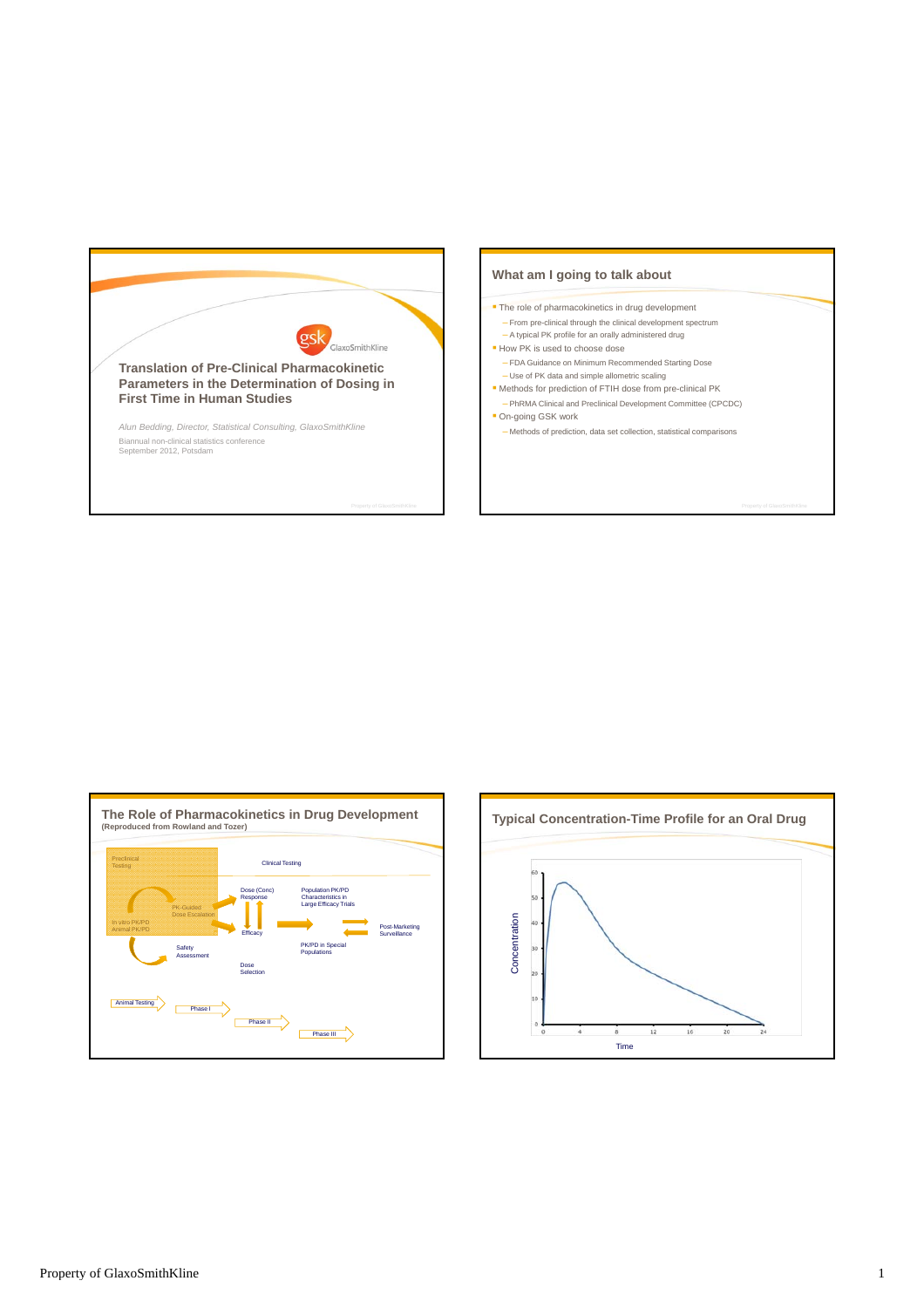





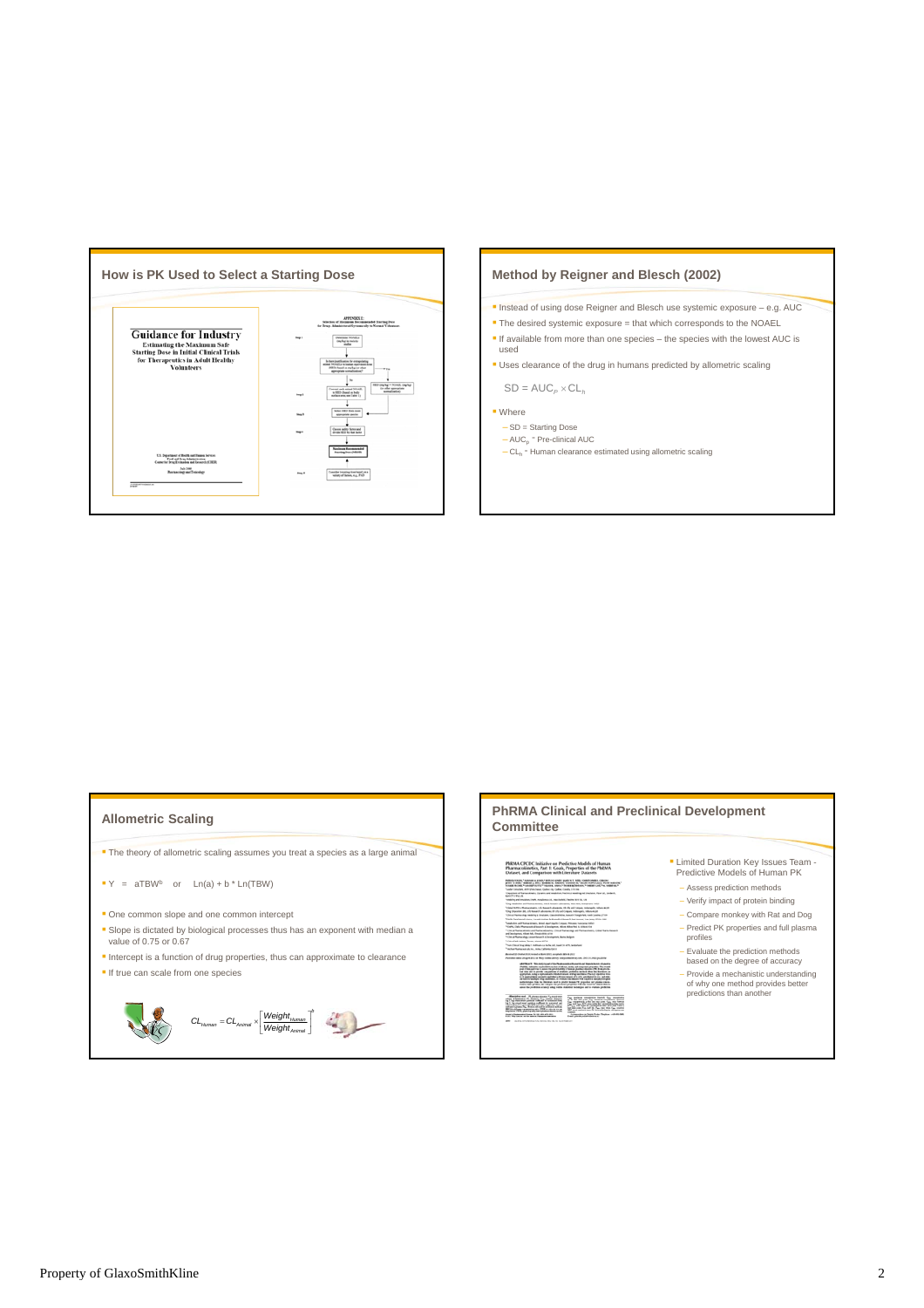

- **Instead of using dose Reigner and Blesch use systemic exposure e.g. AUC**
- The desired systemic exposure = that which corresponds to the NOAEL
- $\blacksquare$  If available from more than one species the species with the lowest AUC is used
- Uses clearance of the drug in humans predicted by allometric scaling

 $SD = AUC_{P} \times CL_{P}$ 

- Where
	- SD = Starting Dose  $-$  AUC<sub>p</sub> = Pre-clinical AUC
	- CL<sub>h</sub> = Human clearance estimated using allometric scaling

# **Allometric Scaling**

**The theory of allometric scaling assumes you treat a species as a large animal** 

- $\bullet$  Y = aTBW<sup>b</sup> or Ln(a) + b \* Ln(TBW)
- **One common slope and one common intercept**
- Slope is dictated by biological processes thus has an exponent with median a value of 0.75 or 0.67
- Intercept is a function of drug properties, thus can approximate to clearance
- If true can scale from one species



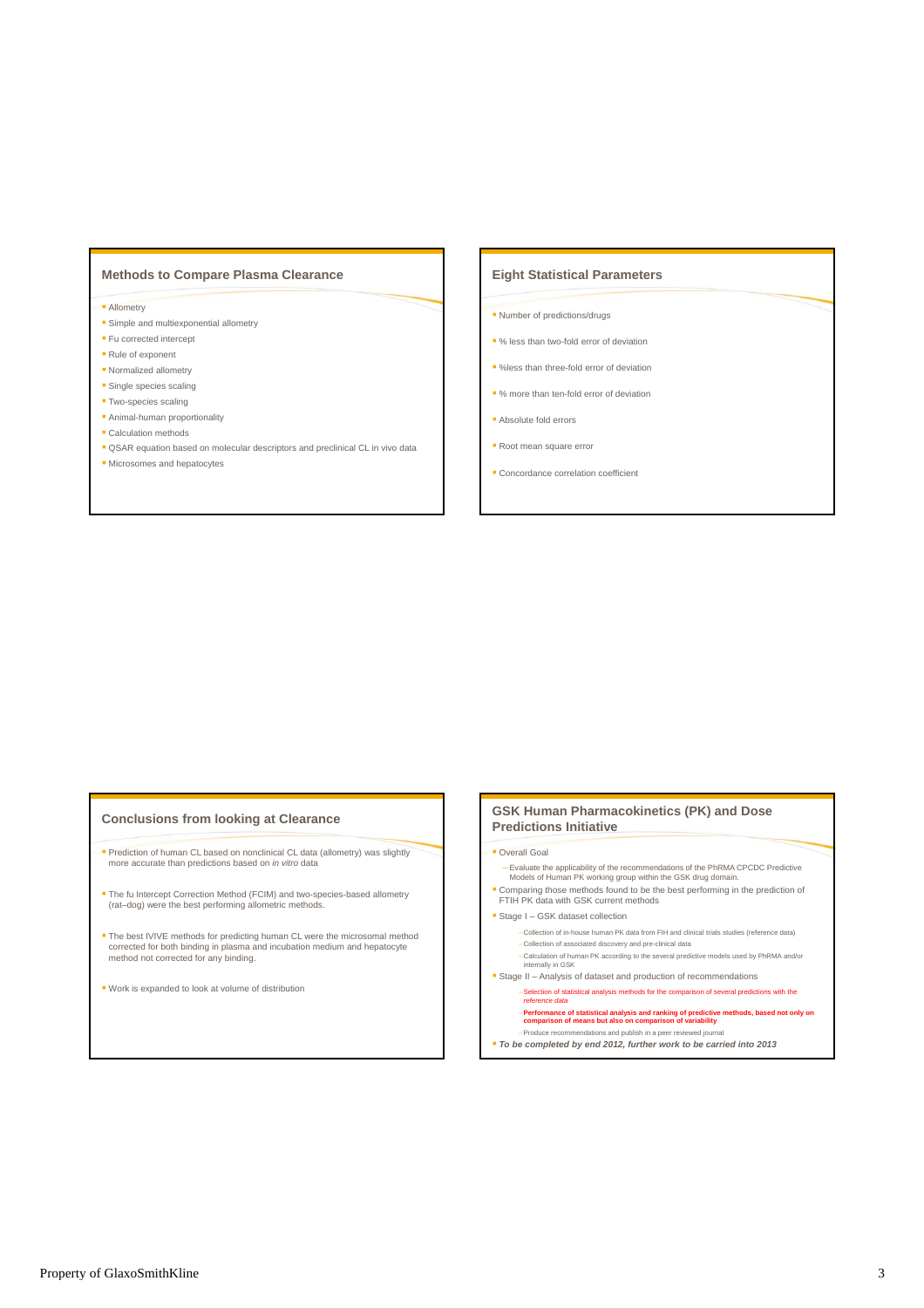# **Methods to Compare Plasma Clearance**

#### **Allometry**

- **Simple and multiexponential allometry**
- **Fu corrected intercept**
- Rule of exponent
- Normalized allometry
- **Single species scaling**
- **Two-species scaling**
- Animal-human proportionality
- **Calculation methods**
- **QSAR** equation based on molecular descriptors and preclinical CL in vivo data
- **Microsomes and hepatocytes**

### **Eight Statistical Parameters**

- **Number of predictions/drugs**
- % less than two-fold error of deviation
- %less than three-fold error of deviation
- % more than ten-fold error of deviation
- **Absolute fold errors**
- Root mean square error
- **Concordance correlation coefficient**

### **Conclusions from looking at Clearance**

- Prediction of human CL based on nonclinical CL data (allometry) was slightly more accurate than predictions based on *in vitro* data
- The fu Intercept Correction Method (FCIM) and two-species-based allometry (rat–dog) were the best performing allometric methods.
- The best IVIVE methods for predicting human CL were the microsomal method corrected for both binding in plasma and incubation medium and hepatocyte method not corrected for any binding.
- Work is expanded to look at volume of distribution

# **GSK Human Pharmacokinetics (PK) and Dose Predictions Initiative**

### **Coverall Goal**

- Evaluate the applicability of the recommendations of the PhRMA CPCDC Predictive Models of Human PK working group within the GSK drug domain.
- Comparing those methods found to be the best performing in the prediction of FTIH PK data with GSK current methods

### Stage I – GSK dataset collection

- –Collection of in-house human PK data from FIH and clinical trials studies (reference data)
- –Collection of associated discovery and pre-clinical data –Calculation of human PK according to the several predictive models used by PhRMA and/or internally in GSK Stage II – Analysis of dataset and production of recommendations
- –Selection of statistical analysis methods for the comparison of several predictions with the *reference data* 
	- –**Performance of statistical analysis and ranking of predictive methods, based not only on comparison of means but also on comparison of variability** –Produce recommendations and publish in a peer reviewed journal
- *To be completed by end 2012, further work to be carried into 2013*